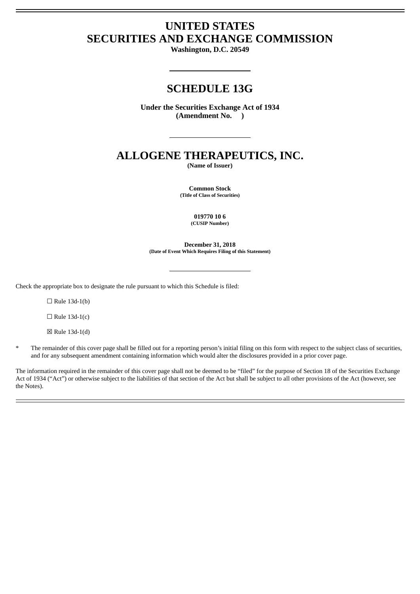# **UNITED STATES SECURITIES AND EXCHANGE COMMISSION**

**Washington, D.C. 20549**

# **SCHEDULE 13G**

**Under the Securities Exchange Act of 1934 (Amendment No. )**

# **ALLOGENE THERAPEUTICS, INC.**

**(Name of Issuer)**

**Common Stock (Title of Class of Securities)**

> **019770 10 6 (CUSIP Number)**

**December 31, 2018 (Date of Event Which Requires Filing of this Statement)**

Check the appropriate box to designate the rule pursuant to which this Schedule is filed:

 $\Box$  Rule 13d-1(b)

 $\Box$  Rule 13d-1(c)

☒ Rule 13d-1(d)

The remainder of this cover page shall be filled out for a reporting person's initial filing on this form with respect to the subject class of securities, and for any subsequent amendment containing information which would alter the disclosures provided in a prior cover page.

The information required in the remainder of this cover page shall not be deemed to be "filed" for the purpose of Section 18 of the Securities Exchange Act of 1934 ("Act") or otherwise subject to the liabilities of that section of the Act but shall be subject to all other provisions of the Act (however, see the Notes).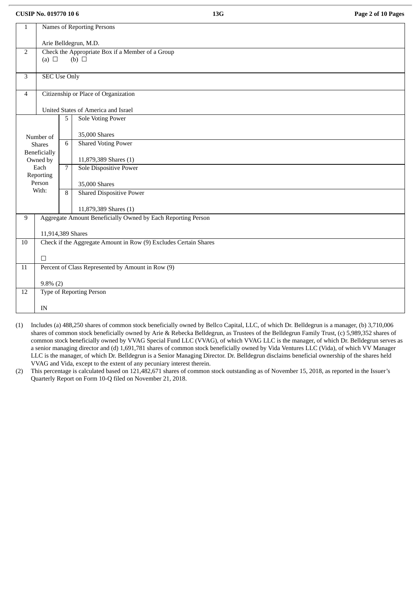**CUSIP No. 019770 10 6 13G Page 2 of 10 Pages**

| $\mathbf{1}$   | Names of Reporting Persons                                                        |                       |                                                              |  |  |  |  |
|----------------|-----------------------------------------------------------------------------------|-----------------------|--------------------------------------------------------------|--|--|--|--|
|                |                                                                                   | Arie Belldegrun, M.D. |                                                              |  |  |  |  |
| $\overline{2}$ | Check the Appropriate Box if a Member of a Group<br>$(b)$ $\square$<br>(a) $\Box$ |                       |                                                              |  |  |  |  |
|                |                                                                                   |                       |                                                              |  |  |  |  |
| $\mathbf{3}$   | <b>SEC Use Only</b>                                                               |                       |                                                              |  |  |  |  |
| $\overline{4}$ |                                                                                   |                       | Citizenship or Place of Organization                         |  |  |  |  |
|                |                                                                                   |                       | United States of America and Israel                          |  |  |  |  |
|                |                                                                                   | 5                     | <b>Sole Voting Power</b>                                     |  |  |  |  |
|                | Number of                                                                         |                       | 35,000 Shares                                                |  |  |  |  |
|                | <b>Shares</b>                                                                     | 6                     | <b>Shared Voting Power</b>                                   |  |  |  |  |
|                | Beneficially<br>Owned by                                                          |                       | 11,879,389 Shares (1)                                        |  |  |  |  |
|                | Each<br>Reporting                                                                 | $\overline{7}$        | <b>Sole Dispositive Power</b>                                |  |  |  |  |
|                | Person                                                                            |                       | 35,000 Shares                                                |  |  |  |  |
|                | With:                                                                             | 8                     | <b>Shared Dispositive Power</b>                              |  |  |  |  |
|                |                                                                                   |                       | 11,879,389 Shares (1)                                        |  |  |  |  |
| 9              |                                                                                   |                       | Aggregate Amount Beneficially Owned by Each Reporting Person |  |  |  |  |
|                | 11,914,389 Shares                                                                 |                       |                                                              |  |  |  |  |
| 10             | Check if the Aggregate Amount in Row (9) Excludes Certain Shares                  |                       |                                                              |  |  |  |  |
|                | $\Box$                                                                            |                       |                                                              |  |  |  |  |
| 11             | Percent of Class Represented by Amount in Row (9)                                 |                       |                                                              |  |  |  |  |
|                | $9.8\%$ (2)                                                                       |                       |                                                              |  |  |  |  |
| 12             |                                                                                   |                       | <b>Type of Reporting Person</b>                              |  |  |  |  |
|                | IN                                                                                |                       |                                                              |  |  |  |  |

- (1) Includes (a) 488,250 shares of common stock beneficially owned by Bellco Capital, LLC, of which Dr. Belldegrun is a manager, (b) 3,710,006 shares of common stock beneficially owned by Arie & Rebecka Belldegrun, as Trustees of the Belldegrun Family Trust, (c) 5,989,352 shares of common stock beneficially owned by VVAG Special Fund LLC (VVAG), of which VVAG LLC is the manager, of which Dr. Belldegrun serves as a senior managing director and (d) 1,691,781 shares of common stock beneficially owned by Vida Ventures LLC (Vida), of which VV Manager LLC is the manager, of which Dr. Belldegrun is a Senior Managing Director. Dr. Belldegrun disclaims beneficial ownership of the shares held VVAG and Vida, except to the extent of any pecuniary interest therein.
- (2) This percentage is calculated based on 121,482,671 shares of common stock outstanding as of November 15, 2018, as reported in the Issuer's Quarterly Report on Form 10-Q filed on November 21, 2018.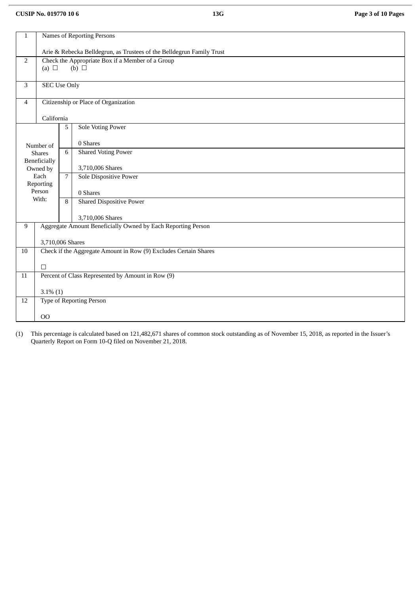# **CUSIP No. 019770 10 6 13G Page 3 of 10 Pages**

| $\mathbf 1$    | Names of Reporting Persons                                                        |                                                                       |                                                   |  |  |  |  |
|----------------|-----------------------------------------------------------------------------------|-----------------------------------------------------------------------|---------------------------------------------------|--|--|--|--|
|                |                                                                                   | Arie & Rebecka Belldegrun, as Trustees of the Belldegrun Family Trust |                                                   |  |  |  |  |
| $\overline{2}$ | Check the Appropriate Box if a Member of a Group<br>$(b)$ $\square$<br>(a) $\Box$ |                                                                       |                                                   |  |  |  |  |
|                |                                                                                   |                                                                       |                                                   |  |  |  |  |
| $\mathbf{3}$   | <b>SEC Use Only</b>                                                               |                                                                       |                                                   |  |  |  |  |
| $\overline{4}$ |                                                                                   |                                                                       | Citizenship or Place of Organization              |  |  |  |  |
|                | California                                                                        |                                                                       |                                                   |  |  |  |  |
|                |                                                                                   | 5                                                                     | <b>Sole Voting Power</b>                          |  |  |  |  |
|                | Number of                                                                         |                                                                       | 0 Shares                                          |  |  |  |  |
|                | <b>Shares</b><br>Beneficially                                                     | 6                                                                     | <b>Shared Voting Power</b>                        |  |  |  |  |
|                | Owned by                                                                          |                                                                       | 3,710,006 Shares                                  |  |  |  |  |
|                | Each<br>Reporting                                                                 | $7\overline{ }$                                                       | Sole Dispositive Power                            |  |  |  |  |
|                | Person                                                                            |                                                                       | 0 Shares                                          |  |  |  |  |
|                | With:                                                                             | $\, 8$                                                                | <b>Shared Dispositive Power</b>                   |  |  |  |  |
|                |                                                                                   |                                                                       | 3,710,006 Shares                                  |  |  |  |  |
| 9              | Aggregate Amount Beneficially Owned by Each Reporting Person                      |                                                                       |                                                   |  |  |  |  |
|                | 3,710,006 Shares                                                                  |                                                                       |                                                   |  |  |  |  |
| 10             | Check if the Aggregate Amount in Row (9) Excludes Certain Shares                  |                                                                       |                                                   |  |  |  |  |
|                | $\Box$                                                                            |                                                                       |                                                   |  |  |  |  |
| 11             |                                                                                   |                                                                       | Percent of Class Represented by Amount in Row (9) |  |  |  |  |
|                | $3.1\%$ $(1)$                                                                     |                                                                       |                                                   |  |  |  |  |
| 12             |                                                                                   |                                                                       | <b>Type of Reporting Person</b>                   |  |  |  |  |
|                | O <sub>O</sub>                                                                    |                                                                       |                                                   |  |  |  |  |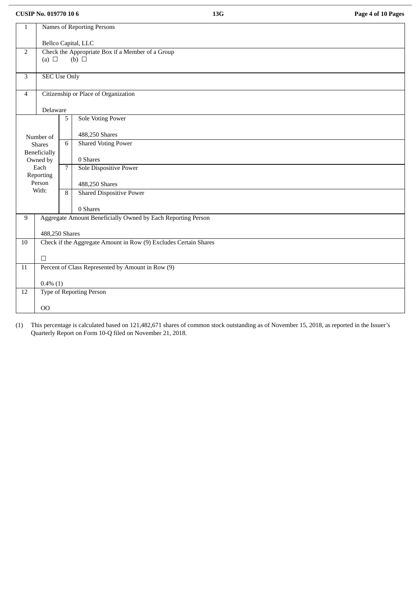**CUSIP No. 019770 10 6 13G Page 4 of 10 Pages**

| $\mathbf{1}$    | Names of Reporting Persons                       |                     |                                                                  |  |  |  |  |
|-----------------|--------------------------------------------------|---------------------|------------------------------------------------------------------|--|--|--|--|
|                 |                                                  |                     |                                                                  |  |  |  |  |
|                 |                                                  | Bellco Capital, LLC |                                                                  |  |  |  |  |
| $\overline{2}$  | Check the Appropriate Box if a Member of a Group |                     |                                                                  |  |  |  |  |
|                 | (a) $\Box$                                       |                     | (b) $\Box$                                                       |  |  |  |  |
| 3               |                                                  |                     |                                                                  |  |  |  |  |
|                 | <b>SEC Use Only</b>                              |                     |                                                                  |  |  |  |  |
| $\overline{4}$  |                                                  |                     | Citizenship or Place of Organization                             |  |  |  |  |
|                 | Delaware                                         |                     |                                                                  |  |  |  |  |
|                 |                                                  | $\overline{5}$      | <b>Sole Voting Power</b>                                         |  |  |  |  |
|                 |                                                  |                     | 488,250 Shares                                                   |  |  |  |  |
|                 | Number of<br><b>Shares</b>                       | 6                   | <b>Shared Voting Power</b>                                       |  |  |  |  |
|                 | Beneficially                                     |                     |                                                                  |  |  |  |  |
|                 | Owned by                                         |                     | 0 Shares                                                         |  |  |  |  |
|                 | Each                                             | $\overline{7}$      | Sole Dispositive Power                                           |  |  |  |  |
|                 | Reporting<br>Person                              |                     | 488,250 Shares                                                   |  |  |  |  |
|                 | With:                                            | 8                   | <b>Shared Dispositive Power</b>                                  |  |  |  |  |
|                 |                                                  |                     |                                                                  |  |  |  |  |
|                 |                                                  |                     | 0 Shares                                                         |  |  |  |  |
| 9               |                                                  |                     | Aggregate Amount Beneficially Owned by Each Reporting Person     |  |  |  |  |
|                 | 488,250 Shares                                   |                     |                                                                  |  |  |  |  |
| 10              |                                                  |                     | Check if the Aggregate Amount in Row (9) Excludes Certain Shares |  |  |  |  |
|                 |                                                  |                     |                                                                  |  |  |  |  |
|                 | $\Box$                                           |                     |                                                                  |  |  |  |  |
| $\overline{11}$ |                                                  |                     | Percent of Class Represented by Amount in Row (9)                |  |  |  |  |
|                 | $0.4\%$ (1)                                      |                     |                                                                  |  |  |  |  |
| 12              |                                                  |                     | <b>Type of Reporting Person</b>                                  |  |  |  |  |
|                 | O <sub>O</sub>                                   |                     |                                                                  |  |  |  |  |
|                 |                                                  |                     |                                                                  |  |  |  |  |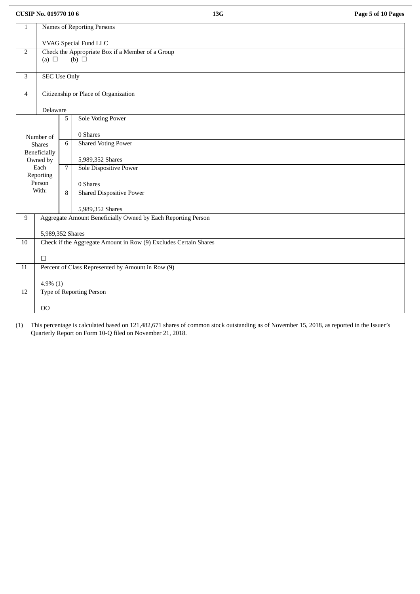**CUSIP No. 019770 10 6 13G Page 5 of 10 Pages**

| $\mathbf{1}$   | Names of Reporting Persons                                       |                       |                                                              |  |  |  |  |
|----------------|------------------------------------------------------------------|-----------------------|--------------------------------------------------------------|--|--|--|--|
|                |                                                                  | VVAG Special Fund LLC |                                                              |  |  |  |  |
| $\overline{2}$ | Check the Appropriate Box if a Member of a Group                 |                       |                                                              |  |  |  |  |
|                | (a) $\Box$                                                       |                       | (b) $\Box$                                                   |  |  |  |  |
| 3              | <b>SEC Use Only</b>                                              |                       |                                                              |  |  |  |  |
| $\overline{4}$ |                                                                  |                       | Citizenship or Place of Organization                         |  |  |  |  |
|                |                                                                  |                       |                                                              |  |  |  |  |
|                | Delaware                                                         |                       |                                                              |  |  |  |  |
|                |                                                                  | 5                     | <b>Sole Voting Power</b>                                     |  |  |  |  |
|                | Number of                                                        |                       | 0 Shares                                                     |  |  |  |  |
|                | <b>Shares</b>                                                    | 6                     | <b>Shared Voting Power</b>                                   |  |  |  |  |
|                | Beneficially<br>Owned by                                         |                       | 5,989,352 Shares                                             |  |  |  |  |
|                | Each<br>Reporting                                                | $\overline{7}$        | Sole Dispositive Power                                       |  |  |  |  |
|                | Person                                                           |                       | 0 Shares                                                     |  |  |  |  |
|                | With:                                                            | 8                     | <b>Shared Dispositive Power</b>                              |  |  |  |  |
|                |                                                                  |                       | 5,989,352 Shares                                             |  |  |  |  |
| 9              |                                                                  |                       | Aggregate Amount Beneficially Owned by Each Reporting Person |  |  |  |  |
|                | 5,989,352 Shares                                                 |                       |                                                              |  |  |  |  |
| $10\,$         | Check if the Aggregate Amount in Row (9) Excludes Certain Shares |                       |                                                              |  |  |  |  |
|                | $\Box$                                                           |                       |                                                              |  |  |  |  |
| 11             | Percent of Class Represented by Amount in Row (9)                |                       |                                                              |  |  |  |  |
|                |                                                                  |                       |                                                              |  |  |  |  |
| 12             | $4.9\%$ (1)<br><b>Type of Reporting Person</b>                   |                       |                                                              |  |  |  |  |
|                |                                                                  |                       |                                                              |  |  |  |  |
|                | 00                                                               |                       |                                                              |  |  |  |  |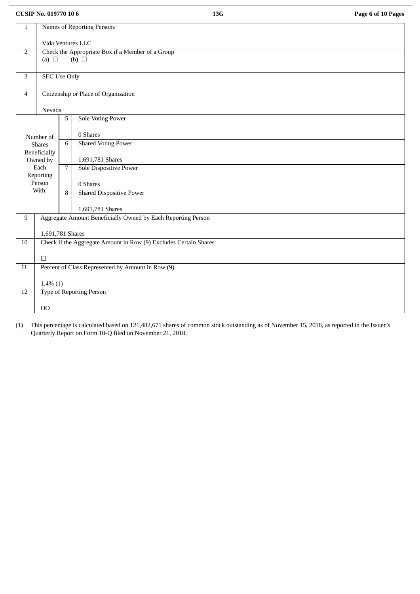**CUSIP No. 019770 10 6 13G Page 6 of 10 Pages**

| $\mathbf{1}$                                          | Names of Reporting Persons                                       |                   |                                                              |  |  |  |  |
|-------------------------------------------------------|------------------------------------------------------------------|-------------------|--------------------------------------------------------------|--|--|--|--|
|                                                       |                                                                  | Vida Ventures LLC |                                                              |  |  |  |  |
| Check the Appropriate Box if a Member of a Group<br>2 |                                                                  |                   |                                                              |  |  |  |  |
|                                                       | (a) $\Box$                                                       |                   | (b) $\Box$                                                   |  |  |  |  |
|                                                       |                                                                  |                   |                                                              |  |  |  |  |
| 3                                                     | <b>SEC Use Only</b>                                              |                   |                                                              |  |  |  |  |
|                                                       |                                                                  |                   |                                                              |  |  |  |  |
| $\overline{4}$                                        |                                                                  |                   | Citizenship or Place of Organization                         |  |  |  |  |
|                                                       |                                                                  |                   |                                                              |  |  |  |  |
|                                                       | Nevada                                                           | $\overline{5}$    | <b>Sole Voting Power</b>                                     |  |  |  |  |
|                                                       |                                                                  |                   |                                                              |  |  |  |  |
|                                                       | Number of                                                        |                   | 0 Shares                                                     |  |  |  |  |
|                                                       | <b>Shares</b>                                                    | 6                 | <b>Shared Voting Power</b>                                   |  |  |  |  |
|                                                       | Beneficially                                                     |                   |                                                              |  |  |  |  |
|                                                       | Owned by                                                         |                   | 1,691,781 Shares                                             |  |  |  |  |
|                                                       | Each                                                             | $\overline{7}$    | Sole Dispositive Power                                       |  |  |  |  |
|                                                       | Reporting<br>Person                                              |                   |                                                              |  |  |  |  |
|                                                       | With:                                                            | $\overline{8}$    | 0 Shares<br><b>Shared Dispositive Power</b>                  |  |  |  |  |
|                                                       |                                                                  |                   |                                                              |  |  |  |  |
|                                                       |                                                                  |                   | 1,691,781 Shares                                             |  |  |  |  |
| 9                                                     |                                                                  |                   | Aggregate Amount Beneficially Owned by Each Reporting Person |  |  |  |  |
|                                                       |                                                                  |                   |                                                              |  |  |  |  |
|                                                       | 1,691,781 Shares                                                 |                   |                                                              |  |  |  |  |
| 10                                                    | Check if the Aggregate Amount in Row (9) Excludes Certain Shares |                   |                                                              |  |  |  |  |
|                                                       | $\Box$                                                           |                   |                                                              |  |  |  |  |
| $\overline{11}$                                       | Percent of Class Represented by Amount in Row (9)                |                   |                                                              |  |  |  |  |
|                                                       |                                                                  |                   |                                                              |  |  |  |  |
|                                                       | $1.4\%$ (1)                                                      |                   |                                                              |  |  |  |  |
| 12                                                    |                                                                  |                   | <b>Type of Reporting Person</b>                              |  |  |  |  |
|                                                       |                                                                  |                   |                                                              |  |  |  |  |
|                                                       | O <sub>O</sub>                                                   |                   |                                                              |  |  |  |  |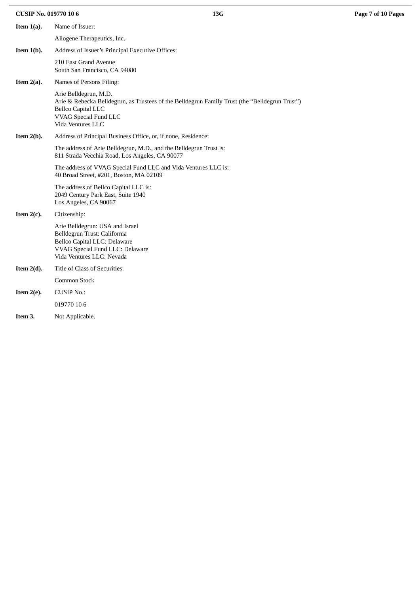| <b>CUSIP No. 019770 106</b> | 13G                                                                                                                                                                                                |  |
|-----------------------------|----------------------------------------------------------------------------------------------------------------------------------------------------------------------------------------------------|--|
| Item $1(a)$ .               | Name of Issuer:                                                                                                                                                                                    |  |
|                             | Allogene Therapeutics, Inc.                                                                                                                                                                        |  |
| Item $1(b)$ .               | Address of Issuer's Principal Executive Offices:                                                                                                                                                   |  |
|                             | 210 East Grand Avenue<br>South San Francisco, CA 94080                                                                                                                                             |  |
| Item $2(a)$ .               | Names of Persons Filing:                                                                                                                                                                           |  |
|                             | Arie Belldegrun, M.D.<br>Arie & Rebecka Belldegrun, as Trustees of the Belldegrun Family Trust (the "Belldegrun Trust")<br><b>Bellco Capital LLC</b><br>VVAG Special Fund LLC<br>Vida Ventures LLC |  |
| Item $2(b)$ .               | Address of Principal Business Office, or, if none, Residence:                                                                                                                                      |  |
|                             | The address of Arie Belldegrun, M.D., and the Belldegrun Trust is:<br>811 Strada Vecchia Road, Los Angeles, CA 90077                                                                               |  |
|                             | The address of VVAG Special Fund LLC and Vida Ventures LLC is:<br>40 Broad Street, #201, Boston, MA 02109                                                                                          |  |
|                             | The address of Bellco Capital LLC is:<br>2049 Century Park East, Suite 1940<br>Los Angeles, CA 90067                                                                                               |  |
| Item $2(c)$ .               | Citizenship:                                                                                                                                                                                       |  |
|                             | Arie Belldegrun: USA and Israel<br>Belldegrun Trust: California<br>Bellco Capital LLC: Delaware<br>VVAG Special Fund LLC: Delaware<br>Vida Ventures LLC: Nevada                                    |  |
| Item $2(d)$ .               | Title of Class of Securities:                                                                                                                                                                      |  |
|                             | Common Stock                                                                                                                                                                                       |  |
| Item $2(e)$ .               | <b>CUSIP No.:</b>                                                                                                                                                                                  |  |
|                             | 019770 10 6                                                                                                                                                                                        |  |
| Item 3.                     | Not Applicable.                                                                                                                                                                                    |  |

**CUSIP No. 019770 10 6 13G Page 7 of 10 Pages**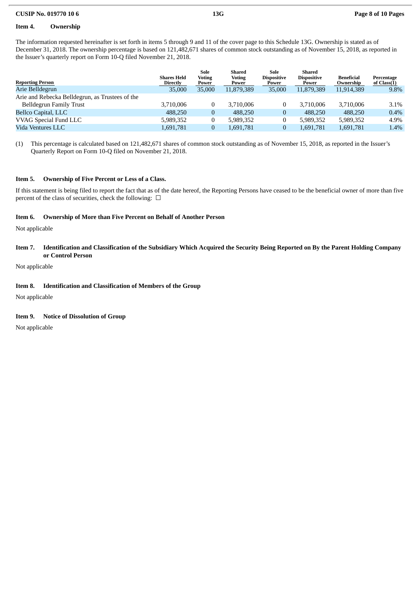### **CUSIP No. 019770 10 6 13G Page 8 of 10 Pages**

# **Item 4. Ownership**

The information requested hereinafter is set forth in items 5 through 9 and 11 of the cover page to this Schedule 13G. Ownership is stated as of December 31, 2018. The ownership percentage is based on 121,482,671 shares of common stock outstanding as of November 15, 2018, as reported in the Issuer's quarterly report on Form 10-Q filed November 21, 2018.

|                                                 |                                | Sole                   | <b>Shared</b>          | Sole                        | Shared                      |                                |                             |
|-------------------------------------------------|--------------------------------|------------------------|------------------------|-----------------------------|-----------------------------|--------------------------------|-----------------------------|
| <b>Reporting Person</b>                         | Shares Held<br><b>Directly</b> | <b>Voting</b><br>Power | <b>Voting</b><br>Power | <b>Dispositive</b><br>Power | <b>Dispositive</b><br>Power | <b>Beneficial</b><br>Ownership | Percentage<br>of $Class(1)$ |
| Arie Belldegrun                                 | 35,000                         | 35,000                 | 11,879,389             | 35,000                      | 11.879.389                  | 11.914.389                     | 9.8%                        |
| Arie and Rebecka Belldegrun, as Trustees of the |                                |                        |                        |                             |                             |                                |                             |
| Belldegrun Family Trust                         | 3.710.006                      |                        | 3.710.006              |                             | 3.710.006                   | 3.710.006                      | 3.1%                        |
| <b>Bellco Capital, LLC</b>                      | 488,250                        | $\overline{0}$         | 488,250                | $\overline{0}$              | 488,250                     | 488,250                        | 0.4%                        |
| VVAG Special Fund LLC                           | 5,989,352                      |                        | 5,989,352              | $\mathbf{0}$                | 5,989,352                   | 5,989,352                      | 4.9%                        |
| Vida Ventures LLC                               | 1,691,781                      | 0                      | 1,691,781              | 0                           | 1,691,781                   | 1,691,781                      | 1.4%                        |

(1) This percentage is calculated based on 121,482,671 shares of common stock outstanding as of November 15, 2018, as reported in the Issuer's Quarterly Report on Form 10-Q filed on November 21, 2018.

#### **Item 5. Ownership of Five Percent or Less of a Class.**

If this statement is being filed to report the fact that as of the date hereof, the Reporting Persons have ceased to be the beneficial owner of more than five percent of the class of securities, check the following:  $\Box$ 

#### **Item 6. Ownership of More than Five Percent on Behalf of Another Person**

Not applicable

## Item 7. Identification and Classification of the Subsidiary Which Acquired the Security Being Reported on By the Parent Holding Company **or Control Person**

Not applicable

### **Item 8. Identification and Classification of Members of the Group**

Not applicable

#### **Item 9. Notice of Dissolution of Group**

Not applicable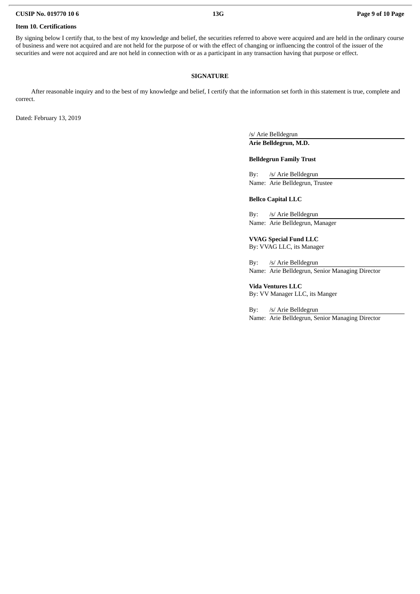#### **Item 10. Certifications**

By signing below I certify that, to the best of my knowledge and belief, the securities referred to above were acquired and are held in the ordinary course of business and were not acquired and are not held for the purpose of or with the effect of changing or influencing the control of the issuer of the securities and were not acquired and are not held in connection with or as a participant in any transaction having that purpose or effect.

## **SIGNATURE**

After reasonable inquiry and to the best of my knowledge and belief, I certify that the information set forth in this statement is true, complete and correct.

Dated: February 13, 2019

/s/ Arie Belldegrun **Arie Belldegrun, M.D.**

#### **Belldegrun Family Trust**

By: /s/ Arie Belldegrun Name: Arie Belldegrun, Trustee

### **Bellco Capital LLC**

By: /s/ Arie Belldegrun Name: Arie Belldegrun, Manager

**VVAG Special Fund LLC** By: VVAG LLC, its Manager

By: /s/ Arie Belldegrun Name: Arie Belldegrun, Senior Managing Director

**Vida Ventures LLC**

By: VV Manager LLC, its Manger

By: /s/ Arie Belldegrun Name: Arie Belldegrun, Senior Managing Director